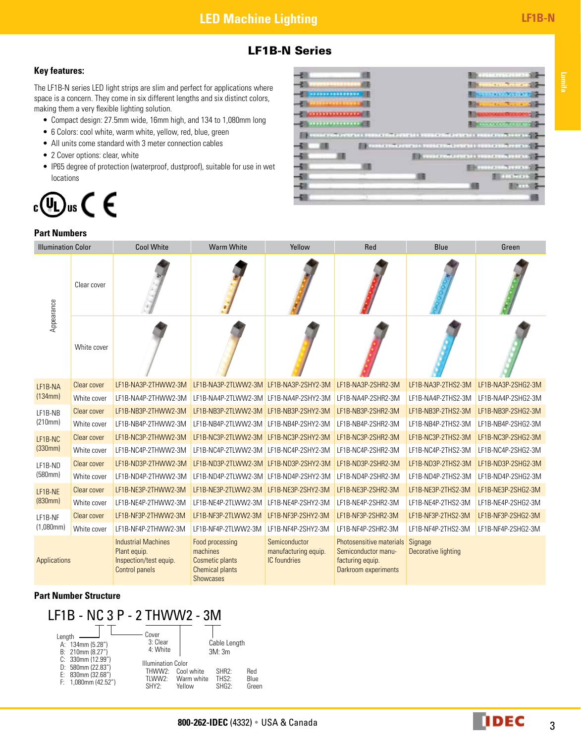### LF1B-N Series

### **Key features:**

The LF1B-N series LED light strips are slim and perfect for applications where space is a concern. They come in six different lengths and six distinct colors, making them a very flexible lighting solution.

- • Compact design: 27.5mm wide, 16mm high, and 134 to 1,080mm long
- 6 Colors: cool white, warm white, yellow, red, blue, green
- All units come standard with 3 meter connection cables
- 2 Cover options: clear, white
- IP65 degree of protection (waterproof, dustproof), suitable for use in wet locations

## $\theta$ us  $\in \epsilon$  $_{c}(\Psi _{L})$



### **Part Numbers**

| <b>Illumination Color</b> |             | <b>Cool White</b>                                                                             | <b>Warm White</b>                                                                                   | Yellow                                                       | Red                                                                                         | Blue                           | Green              |
|---------------------------|-------------|-----------------------------------------------------------------------------------------------|-----------------------------------------------------------------------------------------------------|--------------------------------------------------------------|---------------------------------------------------------------------------------------------|--------------------------------|--------------------|
| Appearance                | Clear cover |                                                                                               |                                                                                                     |                                                              |                                                                                             |                                |                    |
|                           | White cover |                                                                                               |                                                                                                     |                                                              |                                                                                             |                                |                    |
| LF1B-NA                   | Clear cover | LF1B-NA3P-2THWW2-3M                                                                           | LF1B-NA3P-2TLWW2-3M LF1B-NA3P-2SHY2-3M                                                              |                                                              | LF1B-NA3P-2SHR2-3M                                                                          | LF1B-NA3P-2THS2-3M             | LF1B-NA3P-2SHG2-3M |
| (134mm)                   | White cover | LF1B-NA4P-2THWW2-3M                                                                           | LF1B-NA4P-2TLWW2-3M LF1B-NA4P-2SHY2-3M                                                              |                                                              | LF1B-NA4P-2SHR2-3M                                                                          | LF1B-NA4P-2THS2-3M             | LF1B-NA4P-2SHG2-3M |
| LF1B-NB<br>(210mm)        | Clear cover | LF1B-NB3P-2THWW2-3M                                                                           | LF1B-NB3P-2TLWW2-3M LF1B-NB3P-2SHY2-3M                                                              |                                                              | LF1B-NB3P-2SHR2-3M                                                                          | LF1B-NB3P-2THS2-3M             | LF1B-NB3P-2SHG2-3M |
|                           | White cover | LF1B-NB4P-2THWW2-3M                                                                           | LF1B-NB4P-2TLWW2-3M LF1B-NB4P-2SHY2-3M                                                              |                                                              | LF1B-NB4P-2SHR2-3M                                                                          | LF1B-NB4P-2THS2-3M             | LF1B-NB4P-2SHG2-3M |
| LF1B-NC<br>(330mm)        | Clear cover | LF1B-NC3P-2THWW2-3M                                                                           | LF1B-NC3P-2TLWW2-3M LF1B-NC3P-2SHY2-3M                                                              |                                                              | LF1B-NC3P-2SHR2-3M                                                                          | LF1B-NC3P-2THS2-3M             | LF1B-NC3P-2SHG2-3M |
|                           | White cover | LF1B-NC4P-2THWW2-3M                                                                           | LF1B-NC4P-2TLWW2-3M                                                                                 | LF1B-NC4P-2SHY2-3M                                           | LF1B-NC4P-2SHR2-3M                                                                          | LF1B-NC4P-2THS2-3M             | LF1B-NC4P-2SHG2-3M |
| LF1B-ND<br>(580mm)        | Clear cover | LF1B-ND3P-2THWW2-3M                                                                           | LF1B-ND3P-2TLWW2-3M LF1B-ND3P-2SHY2-3M                                                              |                                                              | LF1B-ND3P-2SHR2-3M                                                                          | LF1B-ND3P-2THS2-3M             | LF1B-ND3P-2SHG2-3M |
|                           | White cover | LF1B-ND4P-2THWW2-3M                                                                           | LF1B-ND4P-2TLWW2-3M LF1B-ND4P-2SHY2-3M                                                              |                                                              | LF1B-ND4P-2SHR2-3M                                                                          | LF1B-ND4P-2THS2-3M             | LF1B-ND4P-2SHG2-3M |
| LF1B-NE<br>(830mm)        | Clear cover | LF1B-NE3P-2THWW2-3M                                                                           | LF1B-NE3P-2TLWW2-3M                                                                                 | LF1B-NE3P-2SHY2-3M                                           | LF1B-NE3P-2SHR2-3M                                                                          | LF1B-NE3P-2THS2-3M             | LF1B-NE3P-2SHG2-3M |
|                           | White cover | LF1B-NE4P-2THWW2-3M                                                                           | LF1B-NE4P-2TLWW2-3M                                                                                 | LF1B-NE4P-2SHY2-3M                                           | LF1B-NE4P-2SHR2-3M                                                                          | LF1B-NE4P-2THS2-3M             | LF1B-NE4P-2SHG2-3M |
| LF1B-NF                   | Clear cover | LF1B-NF3P-2THWW2-3M                                                                           | LF1B-NF3P-2TLWW2-3M                                                                                 | LF1B-NF3P-2SHY2-3M                                           | LF1B-NF3P-2SHR2-3M                                                                          | LF1B-NF3P-2THS2-3M             | LF1B-NF3P-2SHG2-3M |
| (1,080mm)                 | White cover | LF1B-NF4P-2THWW2-3M                                                                           | LF1B-NF4P-2TLWW2-3M                                                                                 | LF1B-NF4P-2SHY2-3M                                           | LF1B-NF4P-2SHR2-3M                                                                          | LF1B-NF4P-2THS2-3M             | LF1B-NF4P-2SHG2-3M |
| Applications              |             | <b>Industrial Machines</b><br>Plant equip.<br>Inspection/test equip.<br><b>Control panels</b> | Food processing<br>machines<br><b>Cosmetic plants</b><br><b>Chemical plants</b><br><b>Showcases</b> | Semiconductor<br>manufacturing equip.<br><b>IC</b> foundries | Photosensitive materials<br>Semiconductor manu-<br>facturing equip.<br>Darkroom experiments | Signage<br>Decorative lighting |                    |

### **Part Number Structure**

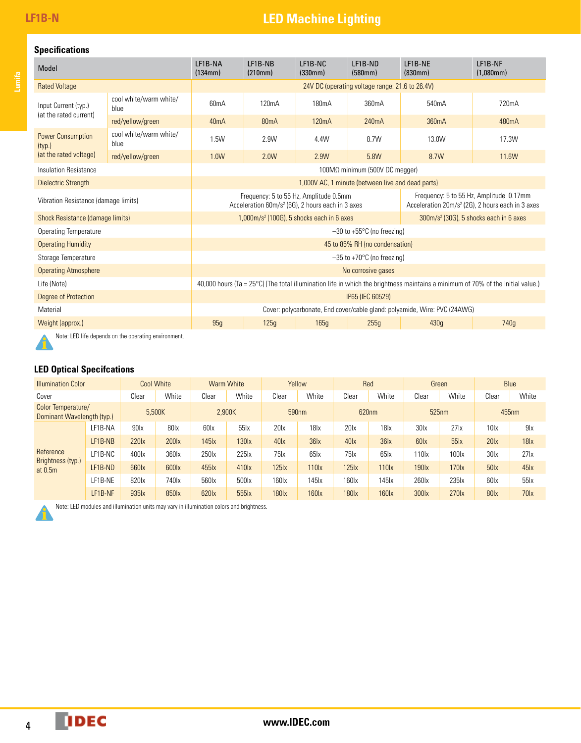# **LF1B-N LED Machine Lighting**

### **Specifications**

| Model                                          |                                | LF1B-NA<br>(134mm)                                                                                                                        | LF1B-NB<br>(210mm)                                                                                     | LF1B-NC<br>(330mm) | LF1B-ND<br>(580mm)                                                                                      | LF1B-NE<br>(830mm) | LF1B-NF<br>$(1,080$ mm $)$ |  |  |
|------------------------------------------------|--------------------------------|-------------------------------------------------------------------------------------------------------------------------------------------|--------------------------------------------------------------------------------------------------------|--------------------|---------------------------------------------------------------------------------------------------------|--------------------|----------------------------|--|--|
| <b>Rated Voltage</b>                           |                                | 24V DC (operating voltage range: 21.6 to 26.4V)                                                                                           |                                                                                                        |                    |                                                                                                         |                    |                            |  |  |
| Input Current (typ.)<br>(at the rated current) | cool white/warm white/<br>blue | 60 <sub>m</sub> A                                                                                                                         | 120 <sub>m</sub> A                                                                                     | 180 <sub>m</sub> A | 360mA                                                                                                   | 540 <sub>m</sub> A | 720mA                      |  |  |
|                                                | red/yellow/green               | 40mA                                                                                                                                      | 80 <sub>m</sub> A                                                                                      | 120 <sub>m</sub> A | 240mA                                                                                                   | 360 <sub>m</sub> A | 480mA                      |  |  |
| <b>Power Consumption</b><br>(typ.)             | cool white/warm white/<br>blue | 1.5W                                                                                                                                      | 2.9W                                                                                                   | 4.4W               | 8.7W                                                                                                    | 13.0W              | 17.3W                      |  |  |
| (at the rated voltage)                         | red/yellow/green               | 1.0W                                                                                                                                      | 2.0W                                                                                                   | 2.9W               | 5.8W                                                                                                    | 8.7W               | 11.6W                      |  |  |
| Insulation Resistance                          |                                | $100M\Omega$ minimum (500V DC megger)                                                                                                     |                                                                                                        |                    |                                                                                                         |                    |                            |  |  |
| <b>Dielectric Strength</b>                     |                                | 1,000V AC, 1 minute (between live and dead parts)                                                                                         |                                                                                                        |                    |                                                                                                         |                    |                            |  |  |
| Vibration Resistance (damage limits)           |                                |                                                                                                                                           | Frequency: 5 to 55 Hz, Amplitude 0.5mm<br>Acceleration 60m/s <sup>2</sup> (6G), 2 hours each in 3 axes |                    | Frequency: 5 to 55 Hz, Amplitude 0.17mm<br>Acceleration 20m/s <sup>2</sup> (2G), 2 hours each in 3 axes |                    |                            |  |  |
| Shock Resistance (damage limits)               |                                | $1,000$ m/s <sup>2</sup> (100G), 5 shocks each in 6 axes<br>$300 \text{m/s}^2$ (30G), 5 shocks each in 6 axes                             |                                                                                                        |                    |                                                                                                         |                    |                            |  |  |
| <b>Operating Temperature</b>                   |                                | $-30$ to +55 $\degree$ C (no freezing)                                                                                                    |                                                                                                        |                    |                                                                                                         |                    |                            |  |  |
| <b>Operating Humidity</b>                      |                                | 45 to 85% RH (no condensation)                                                                                                            |                                                                                                        |                    |                                                                                                         |                    |                            |  |  |
| Storage Temperature                            |                                | $-35$ to +70 $\degree$ C (no freezing)                                                                                                    |                                                                                                        |                    |                                                                                                         |                    |                            |  |  |
| <b>Operating Atmosphere</b>                    |                                | No corrosive gases                                                                                                                        |                                                                                                        |                    |                                                                                                         |                    |                            |  |  |
| Life (Note)                                    |                                | 40,000 hours (Ta = $25^{\circ}$ C) (The total illumination life in which the brightness maintains a minimum of 70% of the initial value.) |                                                                                                        |                    |                                                                                                         |                    |                            |  |  |
| Degree of Protection                           |                                | IP65 (IEC 60529)                                                                                                                          |                                                                                                        |                    |                                                                                                         |                    |                            |  |  |
| Material                                       |                                | Cover: polycarbonate, End cover/cable gland: polyamide, Wire: PVC (24AWG)                                                                 |                                                                                                        |                    |                                                                                                         |                    |                            |  |  |
| Weight (approx.)                               |                                | 95g                                                                                                                                       | 125q                                                                                                   | 165q               | 255q                                                                                                    | 430 <sub>g</sub>   | 740 <sub>g</sub>           |  |  |

Note: LED life depends on the operating environment.

### **LED Optical Specifcations**

| <b>Illumination Color</b>                        |         | <b>Cool White</b> |                   | <b>Warm White</b> |                  | Yellow            |                   | Red               |                  | Green            |                                | <b>Blue</b>       |                  |
|--------------------------------------------------|---------|-------------------|-------------------|-------------------|------------------|-------------------|-------------------|-------------------|------------------|------------------|--------------------------------|-------------------|------------------|
| Cover                                            |         | Clear             | White             | Clear             | White            | Clear             | White             | Clear             | White            | Clear            | White                          | Clear             | White            |
| Color Temperature/<br>Dominant Wavelength (typ.) |         | 5.500K            |                   | 2,900K            |                  | 590 <sub>nm</sub> |                   | 620nm             |                  | 525nm            |                                | 455 <sub>nm</sub> |                  |
| Reference<br>Brightness (typ.)<br>at $0.5m$      | LF1B-NA | 90 <sub>ix</sub>  | 80 <sub>xx</sub>  | 60 <sub>lx</sub>  | 55               | 20 <sub>1x</sub>  | 18 <sub>x</sub>   | 201x              | 18 <sub>lx</sub> | 30 <sub>dx</sub> | $27$ <sub><math>x</math></sub> | 10 <sub>ix</sub>  | 9 <sub>x</sub>   |
|                                                  | LF1B-NB | 220 <sub>x</sub>  | 200 <sub>x</sub>  | 145x              | 130x             | 40 <sub>ix</sub>  | 36 <sub>x</sub>   | 40 <sub>ix</sub>  | 36x              | 60 <sub>lx</sub> | 55                             | 20 <sub>x</sub>   | 18 <sub>x</sub>  |
|                                                  | LF1B-NC | 400lx             | 360lx             | 250 <sub>x</sub>  | 225 lx           | $75$ <sub>x</sub> | $65$ <sub>x</sub> | $75$ <sub>x</sub> | 651x             | 110lx            | 100 <sub>xx</sub>              | 30 <sub>x</sub>   | 27 <sub>l</sub>  |
|                                                  | LF1B-ND | 660lx             | 600lx             | 455 lx            | 410 <sub>x</sub> | 125 <sub>ix</sub> | 110 <sub>ix</sub> | 125k              | 110 <sub>x</sub> | 190 <sub>x</sub> | 170 <sub>x</sub>               | 50 <sub>k</sub>   | 45x              |
|                                                  | LF1B-NE | 820lx             | 740 <sub>lx</sub> | 560lx             | 500lx            | 160 <sub>x</sub>  | 145 lx            | 160 <sub>lx</sub> | 145 Ix           | 260 <sub>x</sub> | 235 <sub>lx</sub>              | 60 <sub>lx</sub>  | 55               |
|                                                  | LF1B-NF | 935 k             | 850lx             | 620lx             | 555              | 180 <sub>x</sub>  | 160 <sub>x</sub>  | 180 <sub>x</sub>  | 160 <sub>x</sub> | 300 <sub>x</sub> | 270 <sub>x</sub>               | 80 <sub>x</sub>   | 70 <sub>ix</sub> |

Note: LED modules and illumination units may vary in illumination colors and brightness.